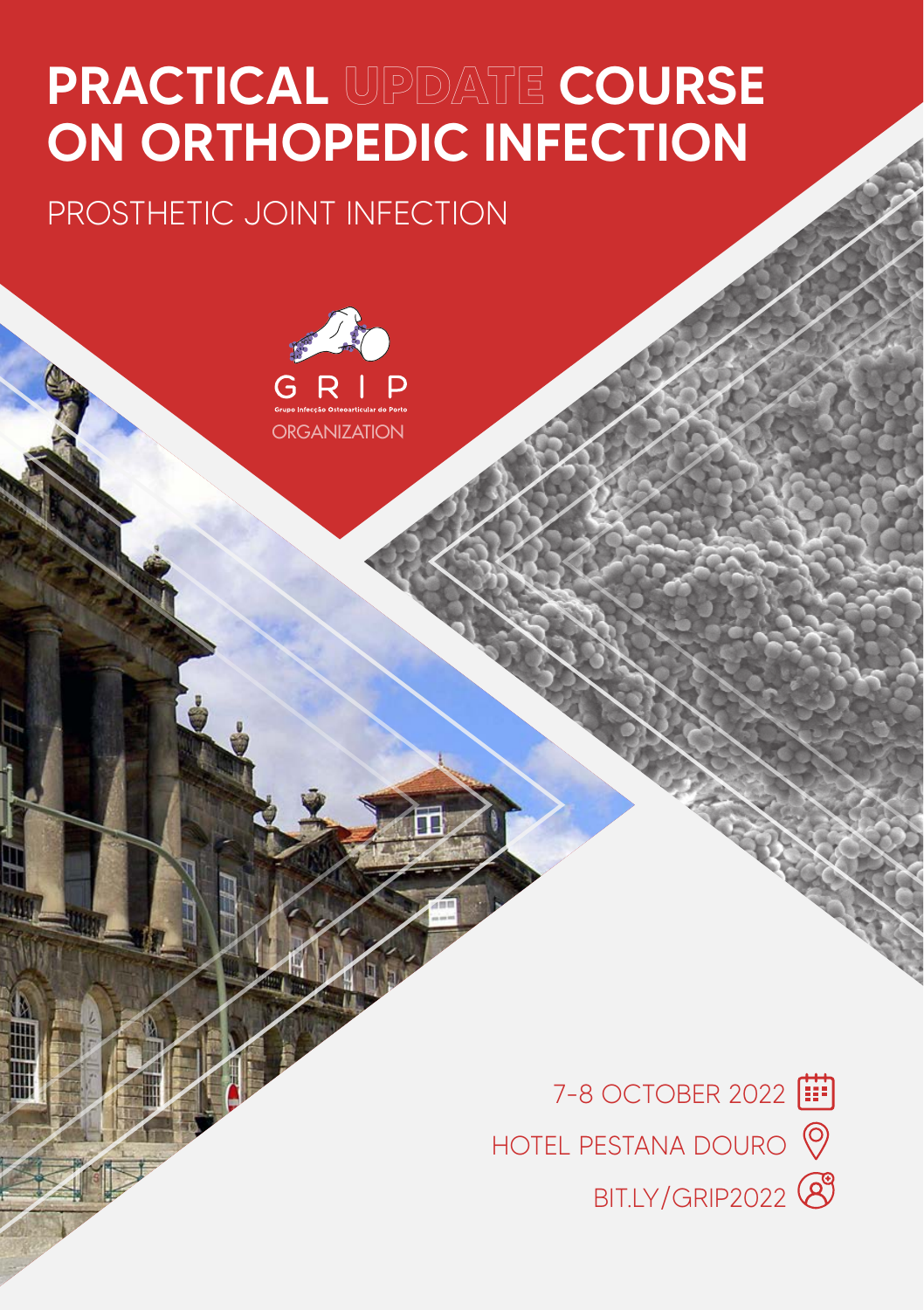# PRACTICAL **UPDATE** COURSE ON ORTHOPEDIC INFECTION

### PROSTHETIC JOINT INFECTION



HOTEL PESTANA DOURO  $\heartsuit$ 7-8 OCTOBER 2022 [ BIT.LY/GRIP2022<sup>8</sup>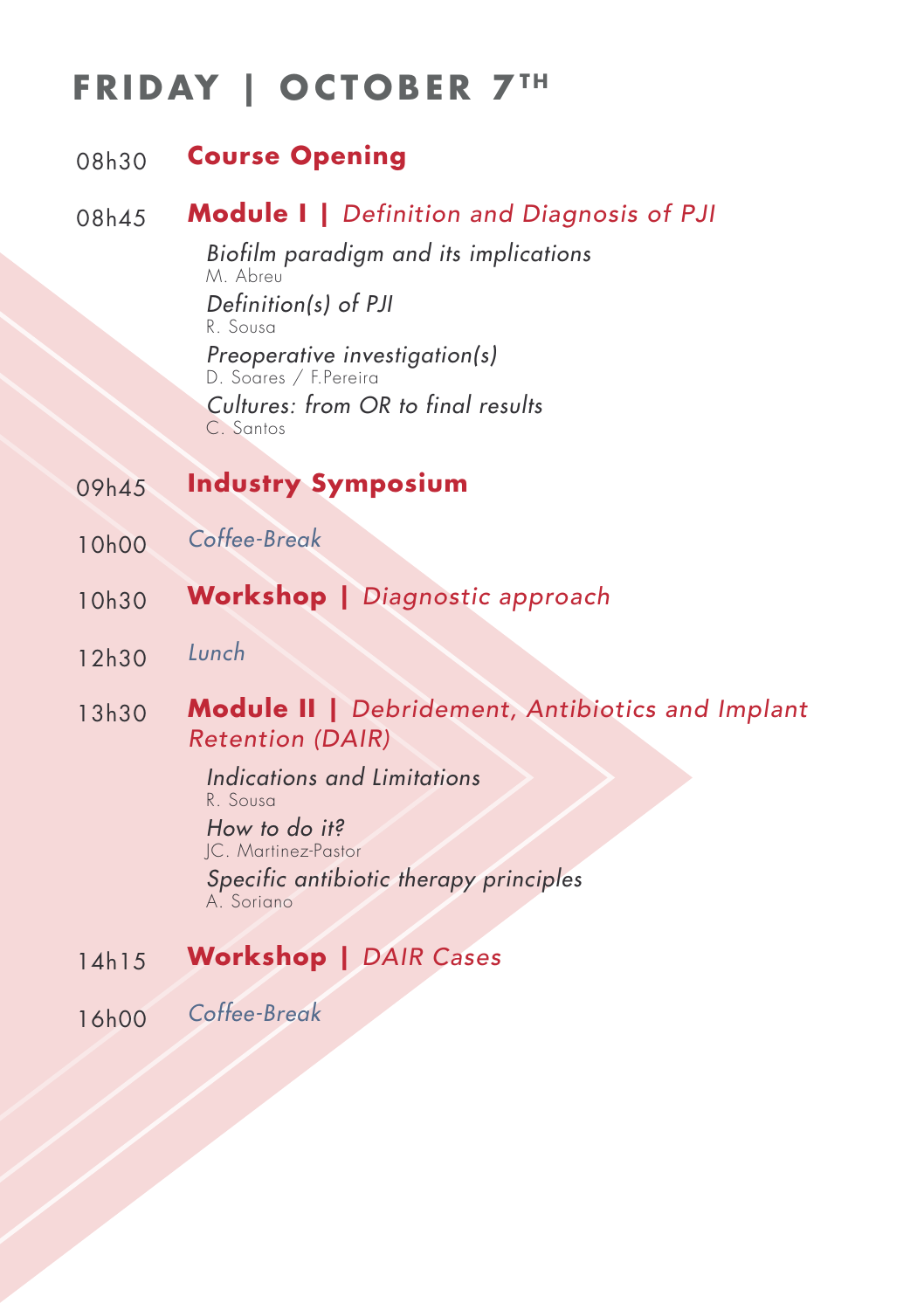## **FRIDAY | OCTOBER 7TH**

#### 08h30 **Course Opening**

### 08h45 **Module I |** *Definition and Diagnosis of PJI*

*Biofilm paradigm and its implications* M. Abreu *Definition(s) of PJI* R. Sousa *Preoperative investigation(s)* D. Soares / F.Pereira *Cultures: from OR to final results* C. Santos

- 09h45 **Industry Symposium**
- 10h00 *Coffee-Break*
- 10h30 **Workshop |** *Diagnostic approach*
- 12h30 *Lunch*
- 13h30 **Module II |** *Debridement, Antibiotics and Implant Retention (DAIR)*

*Indications and Limitations* R. Sousa *How to do it?* JC. Martinez-Pastor *Specific antibiotic therapy principles* A. Soriano

14h15 **Workshop |** *DAIR Cases*

16h00 *Coffee-Break*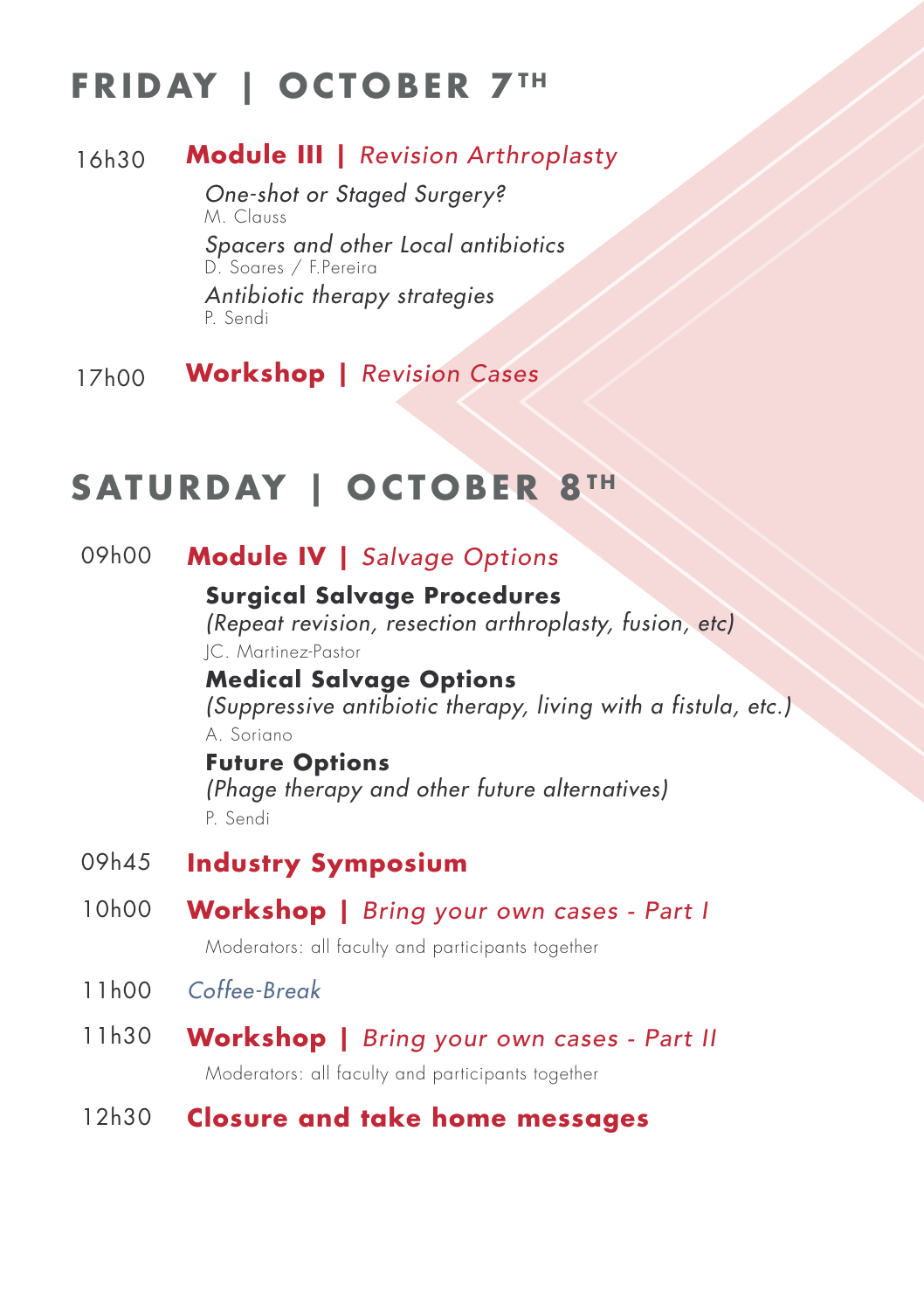# **FRIDAY | OCTOBER 7TH**

### 16h30 **Module III |** *Revision Arthroplasty*

*One-shot or Staged Surgery?* M. Clauss *Spacers and other Local antibiotics* D. Soares / F.Pereira *Antibiotic therapy strategies* P. Sendi

17h00 **Workshop |** *Revision Cases*

### **SATURDAY | OCTOBER 8TH**

### 09h00 **Module IV |** *Salvage Options*

**Surgical Salvage Procedures**  *(Repeat revision, resection arthroplasty, fusion, etc)* JC. Martinez-Pastor **Medical Salvage Options**  *(Suppressive antibiotic therapy, living with a fistula, etc.)* A. Soriano

# **Future Options**

*(Phage therapy and other future alternatives)* P. Sendi

- 09h45 **Industry Symposium**
- 10h00 **Workshop |** *Bring your own cases Part I*

Moderators: all faculty and participants together

- 11h00 *Coffee-Break*
- 11h30 **Workshop |** *Bring your own cases Part II*

Moderators: all faculty and participants together

### 12h30 **Closure and take home messages**